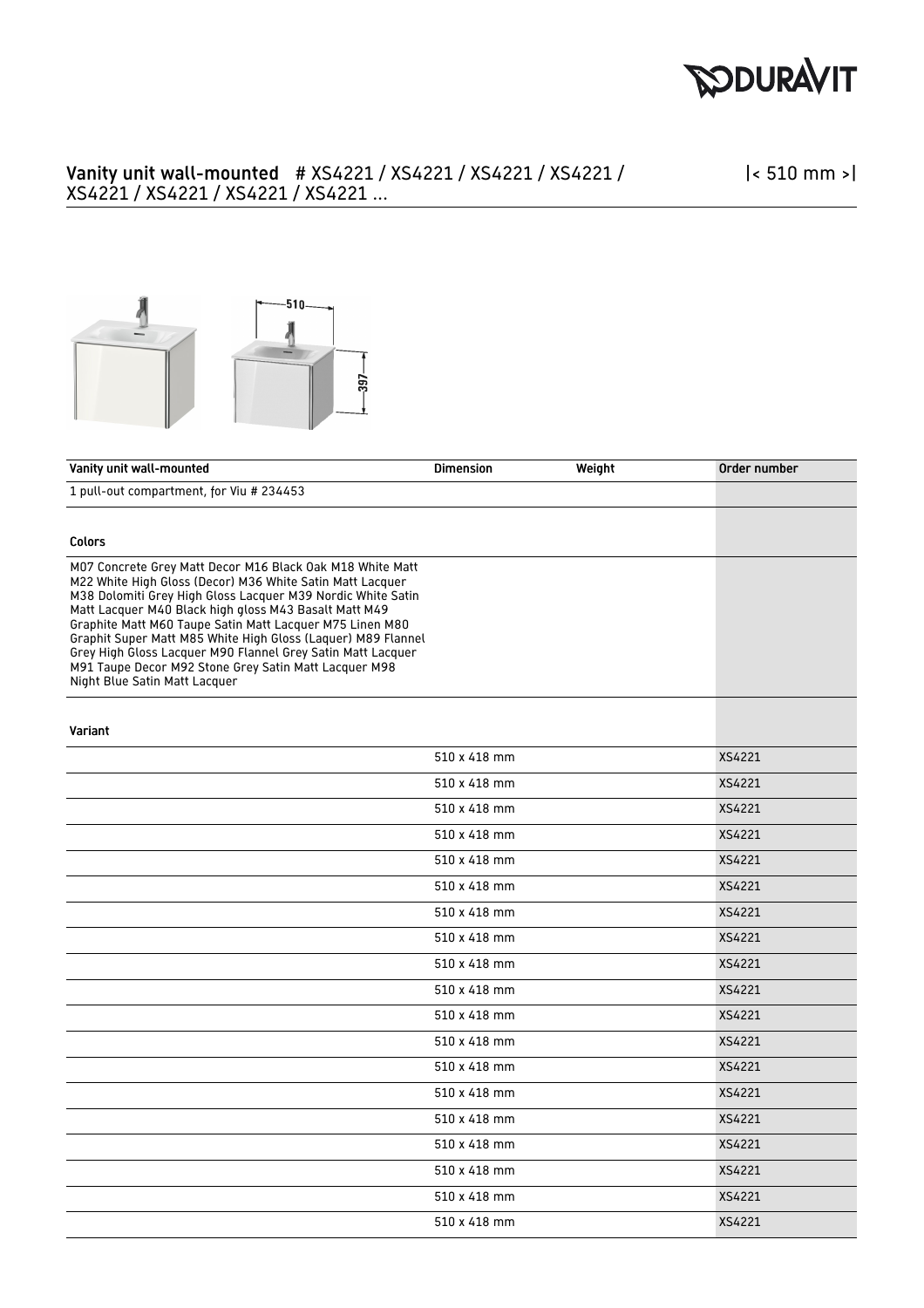

## Vanity unit wall-mounted # XS4221 / XS4221 / XS4221 / XS4221 / XS4221 / XS4221 / XS4221 / XS4221 ...

|< 510 mm >|



| Vanity unit wall-mounted                                                                                                                                                                                                                                                                                                                                                                                                                                                                                                            | <b>Dimension</b> | Weight | Order number |
|-------------------------------------------------------------------------------------------------------------------------------------------------------------------------------------------------------------------------------------------------------------------------------------------------------------------------------------------------------------------------------------------------------------------------------------------------------------------------------------------------------------------------------------|------------------|--------|--------------|
| 1 pull-out compartment, for Viu # 234453                                                                                                                                                                                                                                                                                                                                                                                                                                                                                            |                  |        |              |
|                                                                                                                                                                                                                                                                                                                                                                                                                                                                                                                                     |                  |        |              |
| <b>Colors</b>                                                                                                                                                                                                                                                                                                                                                                                                                                                                                                                       |                  |        |              |
| M07 Concrete Grey Matt Decor M16 Black Oak M18 White Matt<br>M22 White High Gloss (Decor) M36 White Satin Matt Lacquer<br>M38 Dolomiti Grey High Gloss Lacquer M39 Nordic White Satin<br>Matt Lacquer M40 Black high gloss M43 Basalt Matt M49<br>Graphite Matt M60 Taupe Satin Matt Lacquer M75 Linen M80<br>Graphit Super Matt M85 White High Gloss (Laquer) M89 Flannel<br>Grey High Gloss Lacquer M90 Flannel Grey Satin Matt Lacquer<br>M91 Taupe Decor M92 Stone Grey Satin Matt Lacquer M98<br>Night Blue Satin Matt Lacquer |                  |        |              |
| Variant                                                                                                                                                                                                                                                                                                                                                                                                                                                                                                                             |                  |        |              |
|                                                                                                                                                                                                                                                                                                                                                                                                                                                                                                                                     | 510 x 418 mm     |        | XS4221       |
|                                                                                                                                                                                                                                                                                                                                                                                                                                                                                                                                     | 510 x 418 mm     |        | XS4221       |
|                                                                                                                                                                                                                                                                                                                                                                                                                                                                                                                                     | 510 x 418 mm     |        | XS4221       |
|                                                                                                                                                                                                                                                                                                                                                                                                                                                                                                                                     | 510 x 418 mm     |        | XS4221       |
|                                                                                                                                                                                                                                                                                                                                                                                                                                                                                                                                     | 510 x 418 mm     |        | XS4221       |
|                                                                                                                                                                                                                                                                                                                                                                                                                                                                                                                                     | 510 x 418 mm     |        | XS4221       |
|                                                                                                                                                                                                                                                                                                                                                                                                                                                                                                                                     | 510 x 418 mm     |        | XS4221       |
|                                                                                                                                                                                                                                                                                                                                                                                                                                                                                                                                     | 510 x 418 mm     |        | XS4221       |
|                                                                                                                                                                                                                                                                                                                                                                                                                                                                                                                                     | 510 x 418 mm     |        | XS4221       |
|                                                                                                                                                                                                                                                                                                                                                                                                                                                                                                                                     | 510 x 418 mm     |        | XS4221       |
|                                                                                                                                                                                                                                                                                                                                                                                                                                                                                                                                     | 510 x 418 mm     |        | XS4221       |
|                                                                                                                                                                                                                                                                                                                                                                                                                                                                                                                                     | 510 x 418 mm     |        | XS4221       |
|                                                                                                                                                                                                                                                                                                                                                                                                                                                                                                                                     | 510 x 418 mm     |        | XS4221       |
|                                                                                                                                                                                                                                                                                                                                                                                                                                                                                                                                     | 510 x 418 mm     |        | XS4221       |
|                                                                                                                                                                                                                                                                                                                                                                                                                                                                                                                                     | 510 x 418 mm     |        | XS4221       |
|                                                                                                                                                                                                                                                                                                                                                                                                                                                                                                                                     | 510 x 418 mm     |        | XS4221       |
|                                                                                                                                                                                                                                                                                                                                                                                                                                                                                                                                     | 510 x 418 mm     |        | XS4221       |
|                                                                                                                                                                                                                                                                                                                                                                                                                                                                                                                                     | 510 x 418 mm     |        | XS4221       |
|                                                                                                                                                                                                                                                                                                                                                                                                                                                                                                                                     | 510 x 418 mm     |        | XS4221       |